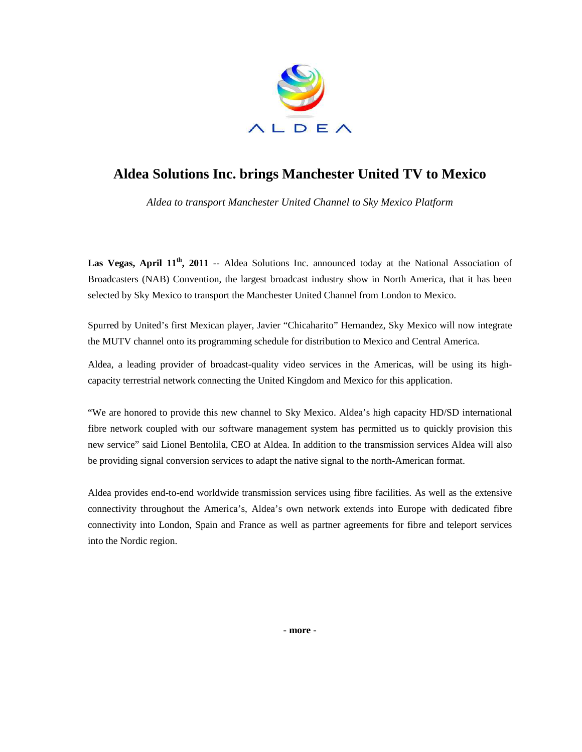

## **Aldea Solutions Inc. brings Manchester United TV to Mexico**

*Aldea to transport Manchester United Channel to Sky Mexico Platform* 

Las Vegas, April  $11<sup>th</sup>$ , 2011 -- Aldea Solutions Inc. announced today at the National Association of Broadcasters (NAB) Convention, the largest broadcast industry show in North America, that it has been selected by Sky Mexico to transport the Manchester United Channel from London to Mexico.

Spurred by United's first Mexican player, Javier "Chicaharito" Hernandez, Sky Mexico will now integrate the MUTV channel onto its programming schedule for distribution to Mexico and Central America.

Aldea, a leading provider of broadcast-quality video services in the Americas, will be using its highcapacity terrestrial network connecting the United Kingdom and Mexico for this application.

"We are honored to provide this new channel to Sky Mexico. Aldea's high capacity HD/SD international fibre network coupled with our software management system has permitted us to quickly provision this new service" said Lionel Bentolila, CEO at Aldea. In addition to the transmission services Aldea will also be providing signal conversion services to adapt the native signal to the north-American format.

Aldea provides end-to-end worldwide transmission services using fibre facilities. As well as the extensive connectivity throughout the America's, Aldea's own network extends into Europe with dedicated fibre connectivity into London, Spain and France as well as partner agreements for fibre and teleport services into the Nordic region.